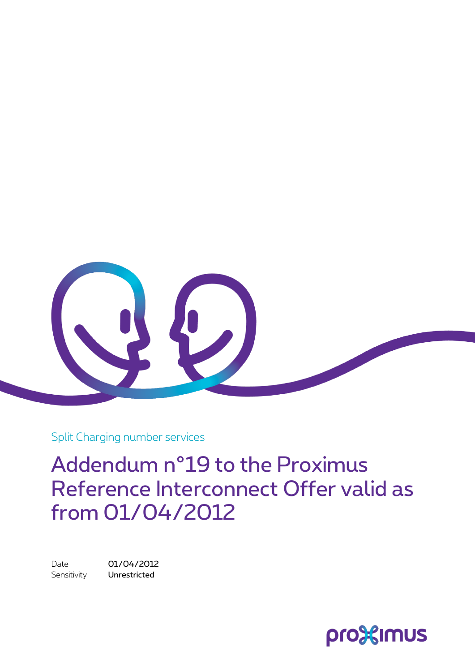

Split Charging number services

Addendum n°19 to the Proximus Reference Interconnect Offer valid as from 01/04/2012

Date 01/04/2012 Sensitivity **Unrestricted** 

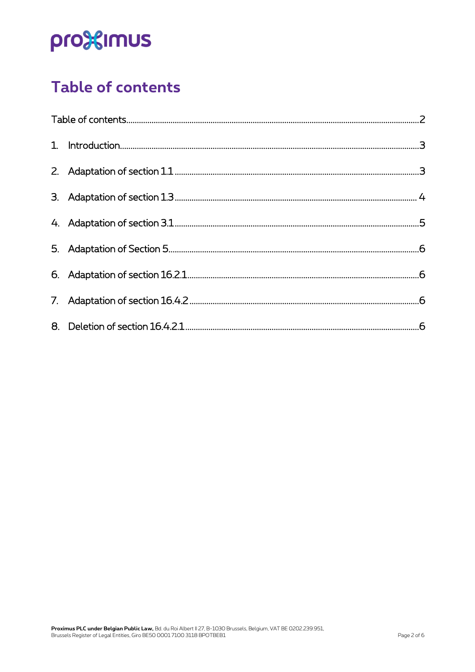# pro<sup>32</sup>imus

### <span id="page-1-0"></span>Table of contents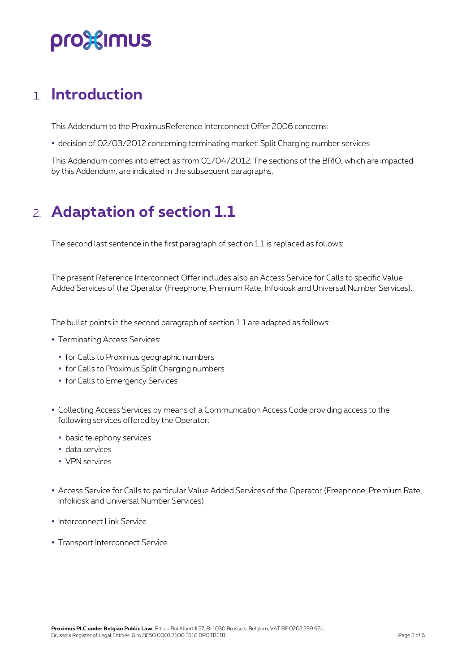### pro%imus

#### <span id="page-2-0"></span>1. **Introduction**

This Addendum to the ProximusReference Interconnect Offer 2006 concerns:

decision of 02/03/2012 concerning terminating market: Split Charging number services

<span id="page-2-1"></span>This Addendum comes into effect as from 01/04/2012. The sections of the BRIO, which are impacted by this Addendum, are indicated in the subsequent paragraphs.

### 2. **Adaptation of section 1.1**

The second last sentence in the first paragraph of section 1.1 is replaced as follows:

The present Reference Interconnect Offer includes also an Access Service for Calls to specific Value Added Services of the Operator (Freephone, Premium Rate, Infokiosk and Universal Number Services).

The bullet points in the second paragraph of section 1.1 are adapted as follows:

- Terminating Access Services:
	- for Calls to Proximus geographic numbers
	- for Calls to Proximus Split Charging numbers
	- for Calls to Emergency Services
- Collecting Access Services by means of a Communication Access Code providing access to the following services offered by the Operator:
	- basic telephony services
	- data services
	- VPN services
- Access Service for Calls to particular Value Added Services of the Operator (Freephone, Premium Rate, Infokiosk and Universal Number Services)
- Interconnect Link Service
- Transport Interconnect Service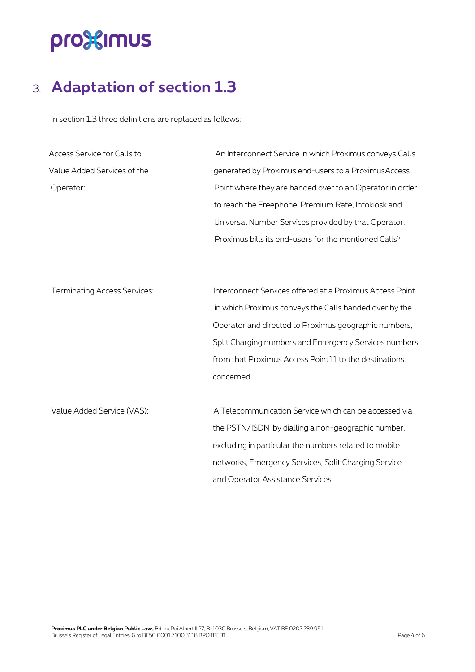## pro<sup>32</sup>imus

### <span id="page-3-0"></span>3. **Adaptation of section 1.3**

In section 1.3 three definitions are replaced as follows:

| Access Service for Calls to         | An Interconnect Service in which Proximus conveys Calls           |
|-------------------------------------|-------------------------------------------------------------------|
| Value Added Services of the         | generated by Proximus end-users to a ProximusAccess               |
| Operator:                           | Point where they are handed over to an Operator in order          |
|                                     | to reach the Freephone, Premium Rate, Infokiosk and               |
|                                     | Universal Number Services provided by that Operator.              |
|                                     | Proximus bills its end-users for the mentioned Calls <sup>5</sup> |
|                                     |                                                                   |
| <b>Terminating Access Services:</b> | Interconnect Services offered at a Proximus Access Point          |
|                                     | in which Proximus conveys the Calls handed over by the            |
|                                     | Operator and directed to Proximus geographic numbers,             |
|                                     | Split Charging numbers and Emergency Services numbers             |
|                                     | from that Proximus Access Point11 to the destinations             |
|                                     | concerned                                                         |
| Value Added Service (VAS):          | A Telecommunication Service which can be accessed via             |
|                                     | the PSTN/ISDN by dialling a non-geographic number,                |
|                                     | excluding in particular the numbers related to mobile             |
|                                     | networks, Emergency Services, Split Charging Service              |
|                                     | and Operator Assistance Services                                  |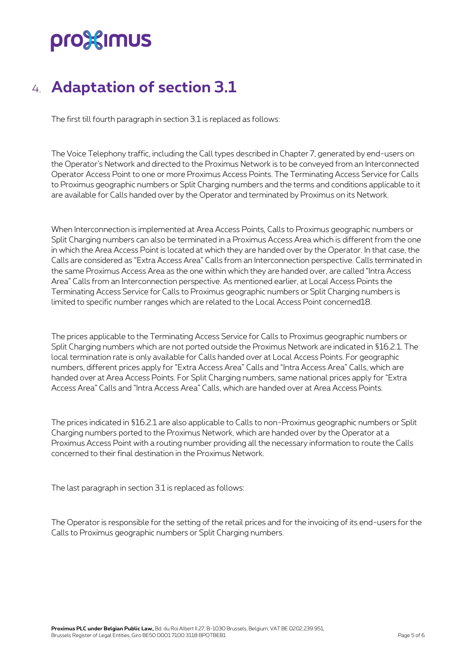## pro%imus

### <span id="page-4-0"></span>4. **Adaptation of section 3.1**

The first till fourth paragraph in section 3.1 is replaced as follows:

The Voice Telephony traffic, including the Call types described in Chapter 7, generated by end-users on the Operator's Network and directed to the Proximus Network is to be conveyed from an Interconnected Operator Access Point to one or more Proximus Access Points. The Terminating Access Service for Calls to Proximus geographic numbers or Split Charging numbers and the terms and conditions applicable to it are available for Calls handed over by the Operator and terminated by Proximus on its Network.

When Interconnection is implemented at Area Access Points, Calls to Proximus geographic numbers or Split Charging numbers can also be terminated in a Proximus Access Area which is different from the one in which the Area Access Point is located at which they are handed over by the Operator. In that case, the Calls are considered as "Extra Access Area" Calls from an Interconnection perspective. Calls terminated in the same Proximus Access Area as the one within which they are handed over, are called "Intra Access Area" Calls from an Interconnection perspective. As mentioned earlier, at Local Access Points the Terminating Access Service for Calls to Proximus geographic numbers or Split Charging numbers is limited to specific number ranges which are related to the Local Access Point concerned18.

The prices applicable to the Terminating Access Service for Calls to Proximus geographic numbers or Split Charging numbers which are not ported outside the Proximus Network are indicated in §16.2.1. The local termination rate is only available for Calls handed over at Local Access Points. For geographic numbers, different prices apply for "Extra Access Area" Calls and "Intra Access Area" Calls, which are handed over at Area Access Points. For Split Charging numbers, same national prices apply for "Extra Access Area" Calls and "Intra Access Area" Calls, which are handed over at Area Access Points.

The prices indicated in §16.2.1 are also applicable to Calls to non-Proximus geographic numbers or Split Charging numbers ported to the Proximus Network, which are handed over by the Operator at a Proximus Access Point with a routing number providing all the necessary information to route the Calls concerned to their final destination in the Proximus Network.

The last paragraph in section 3.1 is replaced as follows:

The Operator is responsible for the setting of the retail prices and for the invoicing of its end-users for the Calls to Proximus geographic numbers or Split Charging numbers.